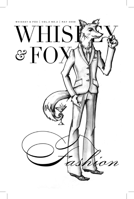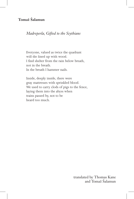# **Tomaž Šalamun**

## *Madreperla, Gifted to the Scythians*

Everyone, valued as twice the quadrant will die lined up with wood. I find shelter from the rain below breath, not in the breath. In the breath I hammer nails.

Inside, deeply inside, there were gray mattresses with sprinkled blood. We used to carry clods of pigs to the fence, laying them into the abyss when trains passed by, not to be heard too much.

> translated by Thomas Kane and Tomaž Šalamun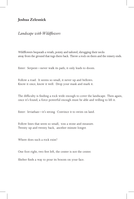#### **Joshua Zelesnick**

#### *Landscape with Wildflowers*

Wildflowers bequeath a wrath, pointy and tailored, shrugging their necks away from the ground that tugs them back. Throw a rock on them and the misery ends.

Enter: Serpent—never walk its path; it only leads to doom.

Follow a road. It seems so small, it never up and bellows. Know it once, know it well. Drop your mask and mark it.

The difficulty is finding a rock wide enough to cover the landscape. Then again, once it's found, a force powerful enough must be able and willing to lift it.

Enter: leviathan—it's strong. Convince it to swim on land.

Follow lines that seem so small, toss a stone and measure. Twenty up and twenty back, another minute longer.

Where does such a rock exist?

One foot right, two feet left, the center is not the center.

Shelter finds a way to pour its bosom on your face.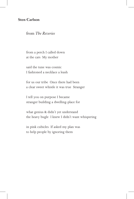### **Sten Carlson**

from *The Reveries* 

from a perch I called down at the cars My mother

said the tune was cosmic I fashioned a necklace a leash

for us our tribe Once there had been a clear sweet whistle it was true Stranger

I tell you on purpose I became stranger building a dwelling-place for

what genius & didn't yet understand the heavy bugle I knew I didn't want whispering

in pink cubicles If asked my plan was to help people by ignoring them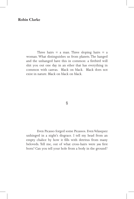#### **Robin Clarke**

Three hairs  $=$  a man. Three sloping hairs  $=$  a woman. What distinguishes us from planets. The hanged and the unhanged have this in common: a firebird will shit you out one day in an ether that has everything in common with canvas. Black on black. Black does not exist in nature. Black on black on black.

§

Even Picasso forged some Picassos. Even Velasquez unhinged in a night's disgrace. I tell my head from an empty chalice by how it fills with detritus from many beloveds. Tell me, out of what cross-hairs were you first born? Can you tell your hole from a body in the ground?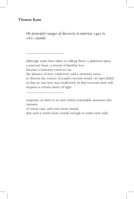#### **Thomas Kane**

*the principal voyages of discovery to america 1492 to 1611 (south)*

although some have taken to calling them: a phantom spice, a mercury hoax, a revival of familiar loss.

because a minority exists to rue

 $\overline{\phantom{a}}$  , where  $\overline{\phantom{a}}$  , where  $\overline{\phantom{a}}$  , where  $\overline{\phantom{a}}$ 

 $\overline{\phantom{a}}$  , where  $\overline{\phantom{a}}$  , where  $\overline{\phantom{a}}$ 

the absence of new confection. and a minority exists to discern the science of jonah's second womb. we have failed in that no one new was swallowed, in that everyone here still requires a certain ration of light.

response: as there is no unit which reasonably measures this vastness

of uncut cane. and even more simply,

that such a wind exists, sturdy enough to waltz each stalk.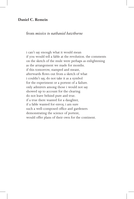#### **Daniel C. Remein**

#### from *missive to nathaniel hawthorne*

i can't say enough what it would mean if you would tell a fable at the revolution. the comments on the sketch of the mule were perhaps as enlightening as the arrangement we made for months. if this tomorrow, stamped and meant, afterwards flows out from a sketch of what i couldn't say, do not take it as a symbol for the experiment or a portent of a failure. only admirers among those i would not say showed up to account for the clearing. do not leave behind pure and true. if a true there wanted for a daughter, if a fable wanted for envoy, i am sure such a well-composed office and gardeners demonstrating the science of portent, would offer plans of their own for the continent.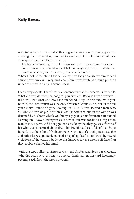#### **Kelly Ramsey**

A visitor arrives. It is a child with a dog and a man beside them, apparently sleeping. So you could say three visitors arrive, but the child is the only one who speaks and therefore who visits.

The house in Taganrog where Chekhov was born. I'm sure you've seen it.

I'm a woman. I have no interest in Chekhov. Why are you here. And also, no. I'm here to visit you. They said you needed comfort.

When I look at the child I too fall asleep, just long enough for him to feed a tube down my ear. Everything about him turns white as though pinched under his body in sleep. I cannot speak.

I can always speak. The visitor is a sentence in that he inspects us for faults. What did you do with the hoagies, you crybaby. Because I am a woman, I tell him, I love what Chekhov has done for adultery. To be honest with you, he said, the Pomeranian was the only character I could stand, but let me tell you a story: once he'd gone looking for Pulaski street, to find a man who ate whole cloves of garlic for breakfast like soft ears, but on the way he was detained by his body which was hit by a pigeon, an unfortunate sort named Gerkington. Now Gerkington as it turned out was toadie to a big union man in those parts, and he suggested to his body that they go see a friend of his who was concerned about fire. This friend had beautiful soft hands, so he said, just the color of fresh concrete. Gerkington's prodigious insatiable and rather large appetite demanded a bag of apples first, followed by several violations of the visitor's body, so the friend as far as I know still fears fire; they couldn't change her mind.

With the tape rolling a visitor arrives, and Shirley abandons her cigarette. Why did you buy that thing, you never drink tea. In her yard knowingly pecking seeds from the snow: pigeons.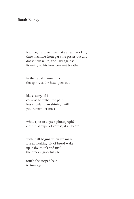#### **Sarah Bagley**

it all begins when we make a real, working time machine from parts he passes out and doesn't wake up, and I lay against listening to his heartbeat not breathe

in the usual manner from the spine, as the head goes out

like a story. if I collapse to watch the past less circular than shining, will you remember me a

white spot in a grass photograph? a piece of cup? of course, it all begins

with it all begins when we make a real, working bit of bread wake up, baby, to ink and mail the breaks, gracefully to

touch the soaped hair, to turn again.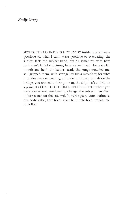### *Emily Gropp*

SKYLESS THE COUNTRY IS A COUNTRY inside, a tent I wave goodbye to, what I can't wave goodbye to evacuating, the subject feels the subject bend, but all structures with bent rods aren't failed structures, because we lived! for a starfall month and held, the ladder steady the rungs crowded me, as I gripped them, with strange joy bless metaphor, for what it carries away evacuating, an under and over, and above the bridge, you crossed to bring me to, the ship—it's a bird, it's a plane, it's COME OUT FROM UNDER THE TENT, where you were you where, you loved to change, the subject: newsflash inflorescence on the sea, wildflowers square your outhouse, our bodies also, have holes space built, into holes impossible to hollow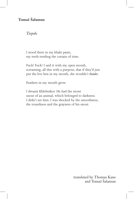# **Tomaž Šalamun**

*Tiepolo*

I stood there in my khaki pants, my teeth rending the curtain of time.

Fuck! Fuck! I said it with my open mouth, screaming, all this with a purpose, that if they'd just put the live hen in my mouth, she wouldn't *thunder*.

Feathers in my mouth grow.

I dreamt Khlebnikov. He had the moist snout of an animal, which belonged to darkness. I didn't see him. I was shocked by the smoothness, the roundness and the grayness of his snout.

> translated by Thomas Kane and Tomaž Šalamun